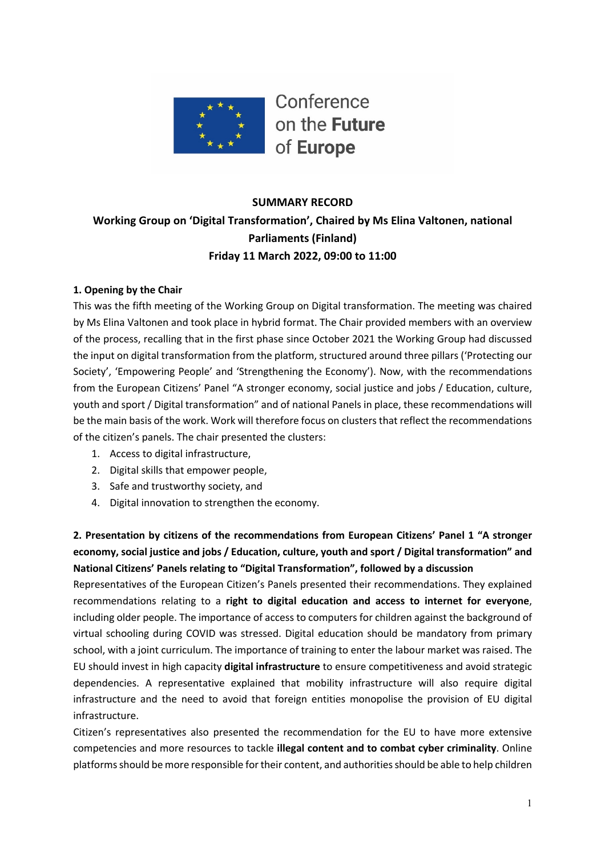

# **SUMMARY RECORD Working Group on 'Digital Transformation', Chaired by Ms Elina Valtonen, national Parliaments (Finland) Friday 11 March 2022, 09:00 to 11:00**

## **1. Opening by the Chair**

This was the fifth meeting of the Working Group on Digital transformation. The meeting was chaired by Ms Elina Valtonen and took place in hybrid format. The Chair provided members with an overview of the process, recalling that in the first phase since October 2021 the Working Group had discussed the input on digital transformation from the platform, structured around three pillars ('Protecting our Society', 'Empowering People' and 'Strengthening the Economy'). Now, with the recommendations from the European Citizens' Panel "A stronger economy, social justice and jobs / Education, culture, youth and sport / Digital transformation" and of national Panels in place, these recommendations will be the main basis of the work. Work will therefore focus on clusters that reflect the recommendations of the citizen's panels. The chair presented the clusters:

- 1. Access to digital infrastructure,
- 2. Digital skills that empower people,
- 3. Safe and trustworthy society, and
- 4. Digital innovation to strengthen the economy.

**2. Presentation by citizens of the recommendations from European Citizens' Panel 1 "A stronger economy, social justice and jobs / Education, culture, youth and sport / Digital transformation" and National Citizens' Panels relating to "Digital Transformation", followed by a discussion**

Representatives of the European Citizen's Panels presented their recommendations. They explained recommendations relating to a **right to digital education and access to internet for everyone**, including older people. The importance of access to computers for children against the background of virtual schooling during COVID was stressed. Digital education should be mandatory from primary school, with a joint curriculum. The importance of training to enter the labour market was raised. The EU should invest in high capacity **digital infrastructure** to ensure competitiveness and avoid strategic dependencies. A representative explained that mobility infrastructure will also require digital infrastructure and the need to avoid that foreign entities monopolise the provision of EU digital infrastructure.

Citizen's representatives also presented the recommendation for the EU to have more extensive competencies and more resources to tackle **illegal content and to combat cyber criminality**. Online platforms should be more responsible for their content, and authorities should be able to help children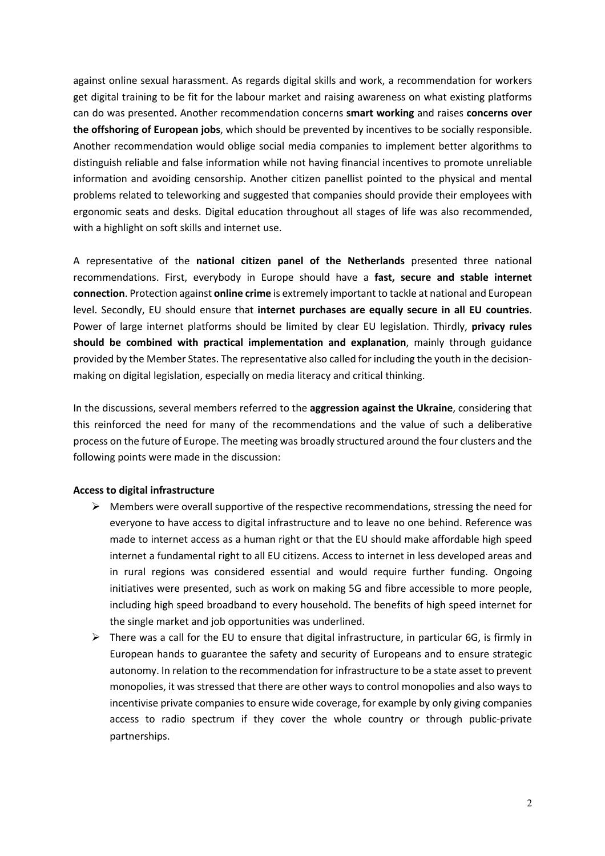against online sexual harassment. As regards digital skills and work, a recommendation for workers get digital training to be fit for the labour market and raising awareness on what existing platforms can do was presented. Another recommendation concerns **smart working** and raises **concerns over the offshoring of European jobs**, which should be prevented by incentives to be socially responsible. Another recommendation would oblige social media companies to implement better algorithms to distinguish reliable and false information while not having financial incentives to promote unreliable information and avoiding censorship. Another citizen panellist pointed to the physical and mental problems related to teleworking and suggested that companies should provide their employees with ergonomic seats and desks. Digital education throughout all stages of life was also recommended, with a highlight on soft skills and internet use.

A representative of the **national citizen panel of the Netherlands** presented three national recommendations. First, everybody in Europe should have a **fast, secure and stable internet connection**. Protection against **online crime** is extremely important to tackle at national and European level. Secondly, EU should ensure that **internet purchases are equally secure in all EU countries**. Power of large internet platforms should be limited by clear EU legislation. Thirdly, **privacy rules should be combined with practical implementation and explanation**, mainly through guidance provided by the Member States. The representative also called for including the youth in the decisionmaking on digital legislation, especially on media literacy and critical thinking.

In the discussions, several members referred to the **aggression against the Ukraine**, considering that this reinforced the need for many of the recommendations and the value of such a deliberative process on the future of Europe. The meeting was broadly structured around the four clusters and the following points were made in the discussion:

### **Access to digital infrastructure**

- $\triangleright$  Members were overall supportive of the respective recommendations, stressing the need for everyone to have access to digital infrastructure and to leave no one behind. Reference was made to internet access as a human right or that the EU should make affordable high speed internet a fundamental right to all EU citizens. Access to internet in less developed areas and in rural regions was considered essential and would require further funding. Ongoing initiatives were presented, such as work on making 5G and fibre accessible to more people, including high speed broadband to every household. The benefits of high speed internet for the single market and job opportunities was underlined.
- $\triangleright$  There was a call for the EU to ensure that digital infrastructure, in particular 6G, is firmly in European hands to guarantee the safety and security of Europeans and to ensure strategic autonomy. In relation to the recommendation for infrastructure to be a state asset to prevent monopolies, it was stressed that there are other ways to control monopolies and also ways to incentivise private companies to ensure wide coverage, for example by only giving companies access to radio spectrum if they cover the whole country or through public-private partnerships.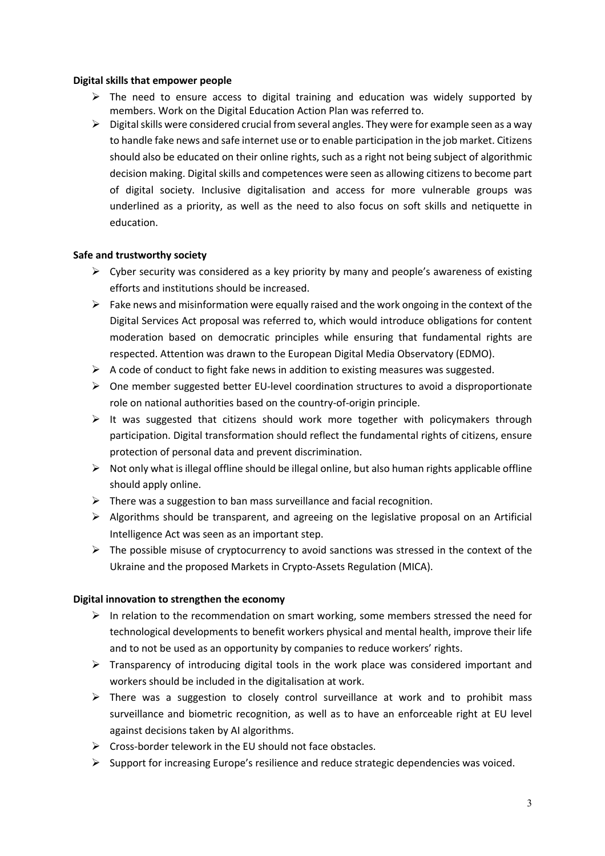### **Digital skills that empower people**

- $\triangleright$  The need to ensure access to digital training and education was widely supported by members. Work on the Digital Education Action Plan was referred to.
- $\triangleright$  Digital skills were considered crucial from several angles. They were for example seen as a way to handle fake news and safe internet use or to enable participation in the job market. Citizens should also be educated on their online rights, such as a right not being subject of algorithmic decision making. Digital skills and competences were seen as allowing citizens to become part of digital society. Inclusive digitalisation and access for more vulnerable groups was underlined as a priority, as well as the need to also focus on soft skills and netiquette in education.

### **Safe and trustworthy society**

- $\triangleright$  Cyber security was considered as a key priority by many and people's awareness of existing efforts and institutions should be increased.
- $\triangleright$  Fake news and misinformation were equally raised and the work ongoing in the context of the Digital Services Act proposal was referred to, which would introduce obligations for content moderation based on democratic principles while ensuring that fundamental rights are respected. Attention was drawn to the European Digital Media Observatory (EDMO).
- $\triangleright$  A code of conduct to fight fake news in addition to existing measures was suggested.
- $\triangleright$  One member suggested better EU-level coordination structures to avoid a disproportionate role on national authorities based on the country-of-origin principle.
- $\triangleright$  It was suggested that citizens should work more together with policymakers through participation. Digital transformation should reflect the fundamental rights of citizens, ensure protection of personal data and prevent discrimination.
- $\triangleright$  Not only what is illegal offline should be illegal online, but also human rights applicable offline should apply online.
- $\triangleright$  There was a suggestion to ban mass surveillance and facial recognition.
- $\triangleright$  Algorithms should be transparent, and agreeing on the legislative proposal on an Artificial Intelligence Act was seen as an important step.
- $\triangleright$  The possible misuse of cryptocurrency to avoid sanctions was stressed in the context of the Ukraine and the proposed Markets in Crypto-Assets Regulation (MICA).

#### **Digital innovation to strengthen the economy**

- $\triangleright$  In relation to the recommendation on smart working, some members stressed the need for technological developments to benefit workers physical and mental health, improve their life and to not be used as an opportunity by companies to reduce workers' rights.
- $\triangleright$  Transparency of introducing digital tools in the work place was considered important and workers should be included in the digitalisation at work.
- $\triangleright$  There was a suggestion to closely control surveillance at work and to prohibit mass surveillance and biometric recognition, as well as to have an enforceable right at EU level against decisions taken by AI algorithms.
- $\triangleright$  Cross-border telework in the EU should not face obstacles.
- $\triangleright$  Support for increasing Europe's resilience and reduce strategic dependencies was voiced.